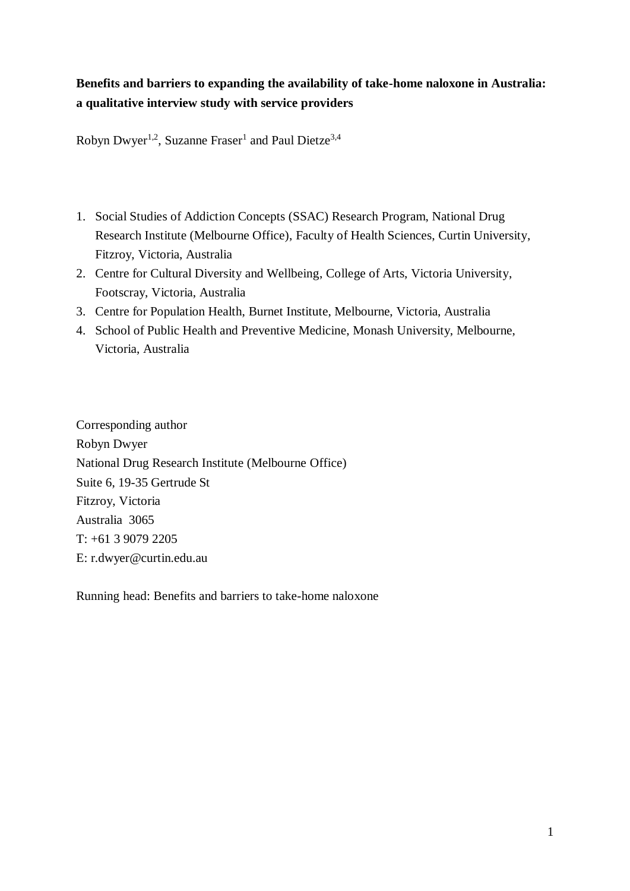# **Benefits and barriers to expanding the availability of take-home naloxone in Australia: a qualitative interview study with service providers**

Robyn Dwyer<sup>1,2</sup>, Suzanne Fraser<sup>1</sup> and Paul Dietze<sup>3,4</sup>

- 1. Social Studies of Addiction Concepts (SSAC) Research Program, National Drug Research Institute (Melbourne Office), Faculty of Health Sciences, Curtin University, Fitzroy, Victoria, Australia
- 2. Centre for Cultural Diversity and Wellbeing, College of Arts, Victoria University, Footscray, Victoria, Australia
- 3. Centre for Population Health, Burnet Institute, Melbourne, Victoria, Australia
- 4. School of Public Health and Preventive Medicine, Monash University, Melbourne, Victoria, Australia

Corresponding author Robyn Dwyer National Drug Research Institute (Melbourne Office) Suite 6, 19-35 Gertrude St Fitzroy, Victoria Australia 3065 T: +61 3 9079 2205 E: r.dwyer@curtin.edu.au

Running head: Benefits and barriers to take-home naloxone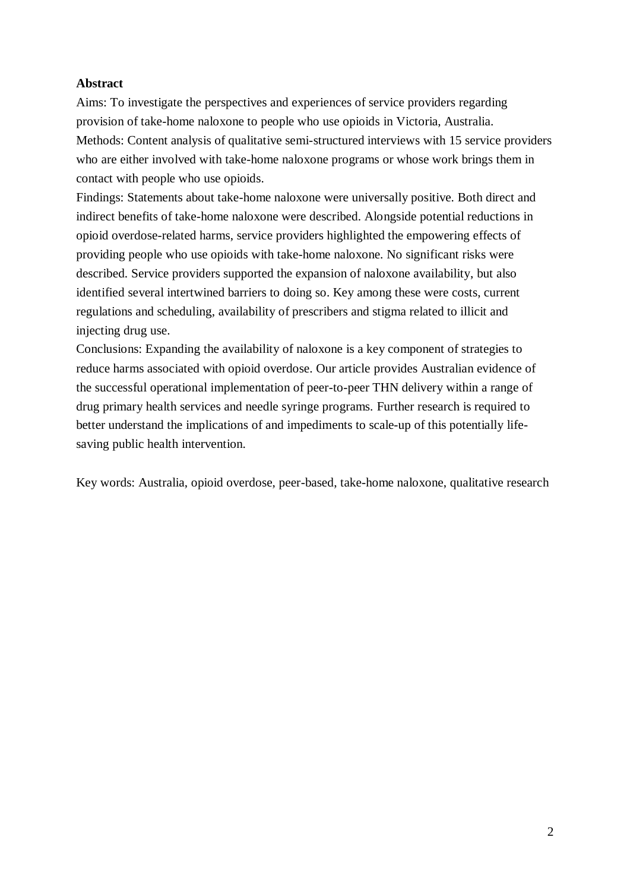# **Abstract**

Aims: To investigate the perspectives and experiences of service providers regarding provision of take-home naloxone to people who use opioids in Victoria, Australia. Methods: Content analysis of qualitative semi-structured interviews with 15 service providers who are either involved with take-home naloxone programs or whose work brings them in contact with people who use opioids.

Findings: Statements about take-home naloxone were universally positive. Both direct and indirect benefits of take-home naloxone were described. Alongside potential reductions in opioid overdose-related harms, service providers highlighted the empowering effects of providing people who use opioids with take-home naloxone. No significant risks were described. Service providers supported the expansion of naloxone availability, but also identified several intertwined barriers to doing so. Key among these were costs, current regulations and scheduling, availability of prescribers and stigma related to illicit and injecting drug use.

Conclusions: Expanding the availability of naloxone is a key component of strategies to reduce harms associated with opioid overdose. Our article provides Australian evidence of the successful operational implementation of peer-to-peer THN delivery within a range of drug primary health services and needle syringe programs. Further research is required to better understand the implications of and impediments to scale-up of this potentially lifesaving public health intervention.

Key words: Australia, opioid overdose, peer-based, take-home naloxone, qualitative research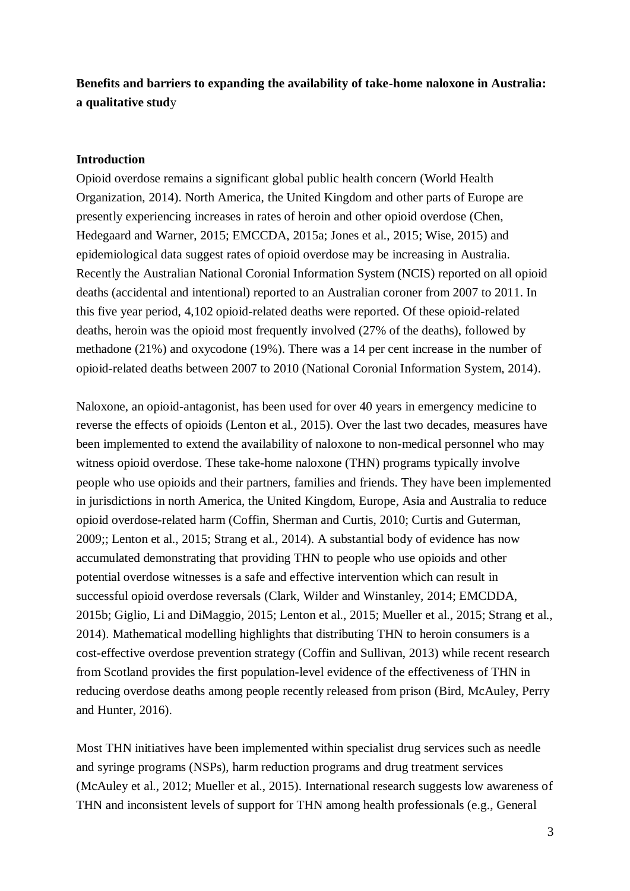# **Benefits and barriers to expanding the availability of take-home naloxone in Australia: a qualitative stud**y

# **Introduction**

Opioid overdose remains a significant global public health concern (World Health Organization, 2014). North America, the United Kingdom and other parts of Europe are presently experiencing increases in rates of heroin and other opioid overdose (Chen, Hedegaard and Warner, 2015; EMCCDA, 2015a; Jones et al., 2015; Wise, 2015) and epidemiological data suggest rates of opioid overdose may be increasing in Australia. Recently the Australian National Coronial Information System (NCIS) reported on all opioid deaths (accidental and intentional) reported to an Australian coroner from 2007 to 2011. In this five year period, 4,102 opioid-related deaths were reported. Of these opioid-related deaths, heroin was the opioid most frequently involved (27% of the deaths), followed by methadone (21%) and oxycodone (19%). There was a 14 per cent increase in the number of opioid-related deaths between 2007 to 2010 (National Coronial Information System, 2014).

Naloxone, an opioid-antagonist, has been used for over 40 years in emergency medicine to reverse the effects of opioids (Lenton et al*.*, 2015). Over the last two decades, measures have been implemented to extend the availability of naloxone to non-medical personnel who may witness opioid overdose. These take-home naloxone (THN) programs typically involve people who use opioids and their partners, families and friends. They have been implemented in jurisdictions in north America, the United Kingdom, Europe, Asia and Australia to reduce opioid overdose-related harm (Coffin, Sherman and Curtis, 2010; Curtis and Guterman, 2009;; Lenton et al., 2015; Strang et al., 2014). A substantial body of evidence has now accumulated demonstrating that providing THN to people who use opioids and other potential overdose witnesses is a safe and effective intervention which can result in successful opioid overdose reversals (Clark, Wilder and Winstanley, 2014; EMCDDA, 2015b; Giglio, Li and DiMaggio, 2015; Lenton et al., 2015; Mueller et al., 2015; Strang et al., 2014). Mathematical modelling highlights that distributing THN to heroin consumers is a cost-effective overdose prevention strategy (Coffin and Sullivan, 2013) while recent research from Scotland provides the first population-level evidence of the effectiveness of THN in reducing overdose deaths among people recently released from prison (Bird, McAuley, Perry and Hunter, 2016).

Most THN initiatives have been implemented within specialist drug services such as needle and syringe programs (NSPs), harm reduction programs and drug treatment services (McAuley et al., 2012; Mueller et al., 2015). International research suggests low awareness of THN and inconsistent levels of support for THN among health professionals (e.g., General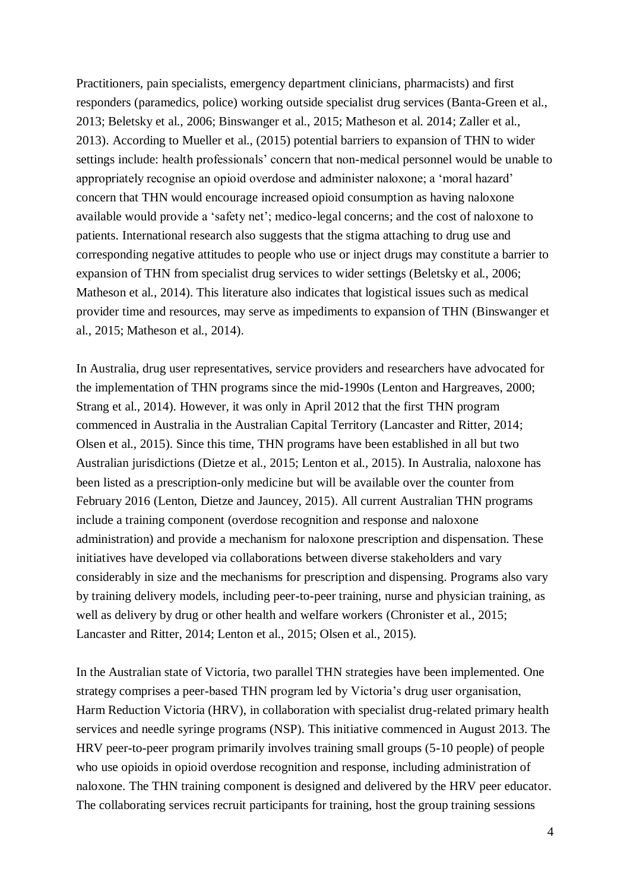Practitioners, pain specialists, emergency department clinicians, pharmacists) and first responders (paramedics, police) working outside specialist drug services (Banta-Green et al., 2013; Beletsky et al., 2006; Binswanger et al., 2015; Matheson et al. 2014; Zaller et al., 2013). According to Mueller et al., (2015) potential barriers to expansion of THN to wider settings include: health professionals' concern that non-medical personnel would be unable to appropriately recognise an opioid overdose and administer naloxone; a 'moral hazard' concern that THN would encourage increased opioid consumption as having naloxone available would provide a 'safety net'; medico-legal concerns; and the cost of naloxone to patients. International research also suggests that the stigma attaching to drug use and corresponding negative attitudes to people who use or inject drugs may constitute a barrier to expansion of THN from specialist drug services to wider settings (Beletsky et al., 2006; Matheson et al., 2014). This literature also indicates that logistical issues such as medical provider time and resources, may serve as impediments to expansion of THN (Binswanger et al., 2015; Matheson et al., 2014).

In Australia, drug user representatives, service providers and researchers have advocated for the implementation of THN programs since the mid-1990s (Lenton and Hargreaves, 2000; Strang et al., 2014). However, it was only in April 2012 that the first THN program commenced in Australia in the Australian Capital Territory (Lancaster and Ritter, 2014; Olsen et al., 2015). Since this time, THN programs have been established in all but two Australian jurisdictions (Dietze et al., 2015; Lenton et al., 2015). In Australia, naloxone has been listed as a prescription-only medicine but will be available over the counter from February 2016 (Lenton, Dietze and Jauncey, 2015). All current Australian THN programs include a training component (overdose recognition and response and naloxone administration) and provide a mechanism for naloxone prescription and dispensation. These initiatives have developed via collaborations between diverse stakeholders and vary considerably in size and the mechanisms for prescription and dispensing. Programs also vary by training delivery models, including peer-to-peer training, nurse and physician training, as well as delivery by drug or other health and welfare workers (Chronister et al., 2015; Lancaster and Ritter, 2014; Lenton et al., 2015; Olsen et al., 2015).

In the Australian state of Victoria, two parallel THN strategies have been implemented. One strategy comprises a peer-based THN program led by Victoria's drug user organisation, Harm Reduction Victoria (HRV), in collaboration with specialist drug-related primary health services and needle syringe programs (NSP). This initiative commenced in August 2013. The HRV peer-to-peer program primarily involves training small groups (5-10 people) of people who use opioids in opioid overdose recognition and response, including administration of naloxone. The THN training component is designed and delivered by the HRV peer educator. The collaborating services recruit participants for training, host the group training sessions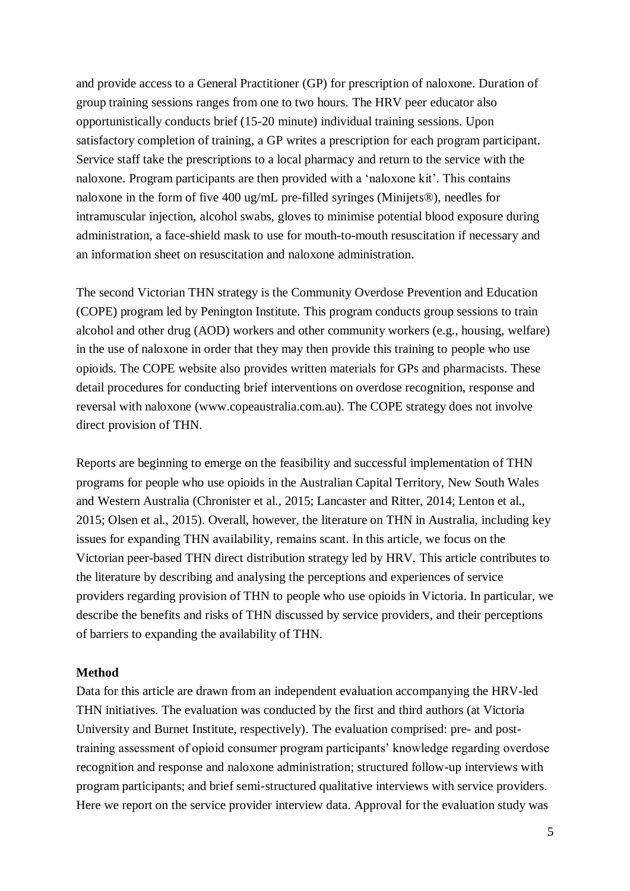and provide access to a General Practitioner (GP) for prescription of naloxone. Duration of group training sessions ranges from one to two hours. The HRV peer educator also opportunistically conducts brief (15-20 minute) individual training sessions. Upon satisfactory completion of training, a GP writes a prescription for each program participant. Service staff take the prescriptions to a local pharmacy and return to the service with the naloxone. Program participants are then provided with a 'naloxone kit'. This contains naloxone in the form of five 400 ug/mL pre-filled syringes (Minijets®), needles for intramuscular injection, alcohol swabs, gloves to minimise potential blood exposure during administration, a face-shield mask to use for mouth-to-mouth resuscitation if necessary and an information sheet on resuscitation and naloxone administration.

The second Victorian THN strategy is the Community Overdose Prevention and Education (COPE) program led by Penington Institute. This program conducts group sessions to train alcohol and other drug (AOD) workers and other community workers (e.g., housing, welfare) in the use of naloxone in order that they may then provide this training to people who use opioids. The COPE website also provides written materials for GPs and pharmacists. These detail procedures for conducting brief interventions on overdose recognition, response and reversal with naloxone (www.copeaustralia.com.au). The COPE strategy does not involve direct provision of THN.

Reports are beginning to emerge on the feasibility and successful implementation of THN programs for people who use opioids in the Australian Capital Territory, New South Wales and Western Australia (Chronister et al., 2015; Lancaster and Ritter, 2014; Lenton et al., 2015; Olsen et al., 2015). Overall, however, the literature on THN in Australia, including key issues for expanding THN availability, remains scant. In this article, we focus on the Victorian peer-based THN direct distribution strategy led by HRV. This article contributes to the literature by describing and analysing the perceptions and experiences of service providers regarding provision of THN to people who use opioids in Victoria. In particular, we describe the benefits and risks of THN discussed by service providers, and their perceptions of barriers to expanding the availability of THN.

#### **Method**

Data for this article are drawn from an independent evaluation accompanying the HRV-led THN initiatives. The evaluation was conducted by the first and third authors (at Victoria University and Burnet Institute, respectively). The evaluation comprised: pre- and posttraining assessment of opioid consumer program participants' knowledge regarding overdose recognition and response and naloxone administration; structured follow-up interviews with program participants; and brief semi-structured qualitative interviews with service providers. Here we report on the service provider interview data. Approval for the evaluation study was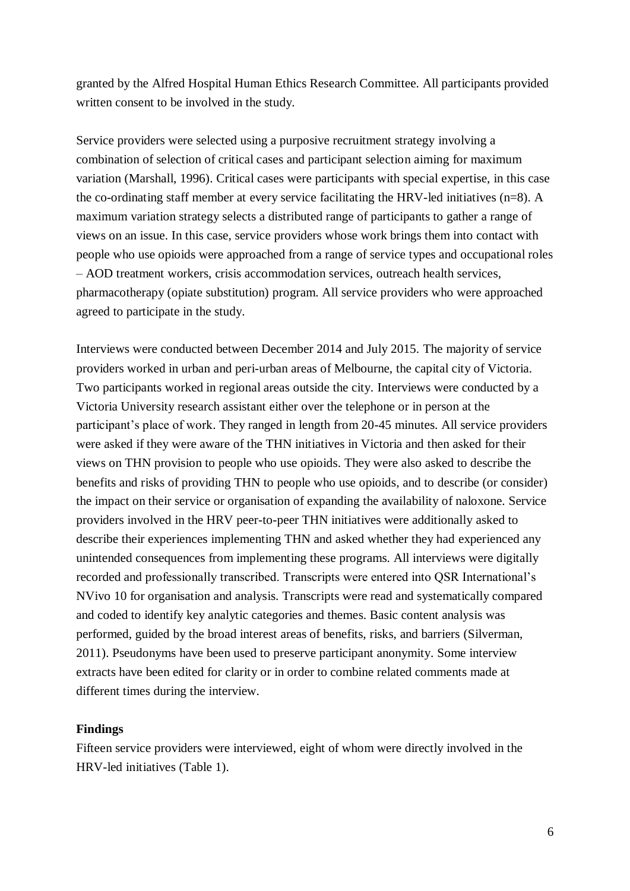granted by the Alfred Hospital Human Ethics Research Committee. All participants provided written consent to be involved in the study.

Service providers were selected using a purposive recruitment strategy involving a combination of selection of critical cases and participant selection aiming for maximum variation (Marshall, 1996). Critical cases were participants with special expertise, in this case the co-ordinating staff member at every service facilitating the HRV-led initiatives (n=8). A maximum variation strategy selects a distributed range of participants to gather a range of views on an issue. In this case, service providers whose work brings them into contact with people who use opioids were approached from a range of service types and occupational roles – AOD treatment workers, crisis accommodation services, outreach health services, pharmacotherapy (opiate substitution) program. All service providers who were approached agreed to participate in the study.

Interviews were conducted between December 2014 and July 2015. The majority of service providers worked in urban and peri-urban areas of Melbourne, the capital city of Victoria. Two participants worked in regional areas outside the city. Interviews were conducted by a Victoria University research assistant either over the telephone or in person at the participant's place of work. They ranged in length from 20-45 minutes. All service providers were asked if they were aware of the THN initiatives in Victoria and then asked for their views on THN provision to people who use opioids. They were also asked to describe the benefits and risks of providing THN to people who use opioids, and to describe (or consider) the impact on their service or organisation of expanding the availability of naloxone. Service providers involved in the HRV peer-to-peer THN initiatives were additionally asked to describe their experiences implementing THN and asked whether they had experienced any unintended consequences from implementing these programs. All interviews were digitally recorded and professionally transcribed. Transcripts were entered into QSR International's NVivo 10 for organisation and analysis. Transcripts were read and systematically compared and coded to identify key analytic categories and themes. Basic content analysis was performed, guided by the broad interest areas of benefits, risks, and barriers (Silverman, 2011). Pseudonyms have been used to preserve participant anonymity. Some interview extracts have been edited for clarity or in order to combine related comments made at different times during the interview.

### **Findings**

Fifteen service providers were interviewed, eight of whom were directly involved in the HRV-led initiatives (Table 1).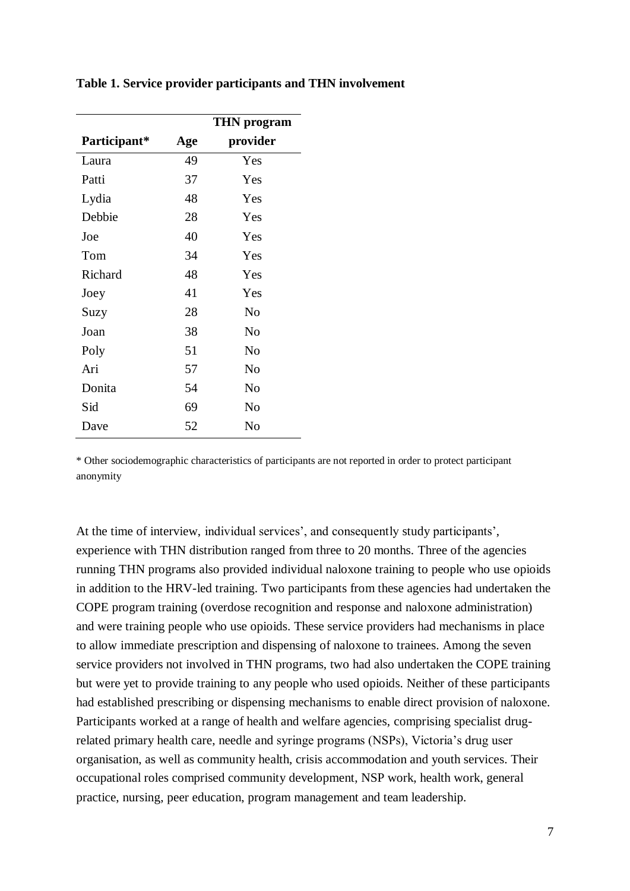|              |     | <b>THN</b> program |
|--------------|-----|--------------------|
| Participant* | Age | provider           |
| Laura        | 49  | Yes                |
| Patti        | 37  | Yes                |
| Lydia        | 48  | Yes                |
| Debbie       | 28  | Yes                |
| Joe          | 40  | Yes                |
| Tom          | 34  | Yes                |
| Richard      | 48  | Yes                |
| Joey         | 41  | Yes                |
| Suzy         | 28  | N <sub>0</sub>     |
| Joan         | 38  | N <sub>o</sub>     |
| Poly         | 51  | No                 |
| Ari          | 57  | No                 |
| Donita       | 54  | No                 |
| Sid          | 69  | N <sub>o</sub>     |
| Dave         | 52  | No                 |

### **Table 1. Service provider participants and THN involvement**

\* Other sociodemographic characteristics of participants are not reported in order to protect participant anonymity

At the time of interview, individual services', and consequently study participants', experience with THN distribution ranged from three to 20 months. Three of the agencies running THN programs also provided individual naloxone training to people who use opioids in addition to the HRV-led training. Two participants from these agencies had undertaken the COPE program training (overdose recognition and response and naloxone administration) and were training people who use opioids. These service providers had mechanisms in place to allow immediate prescription and dispensing of naloxone to trainees. Among the seven service providers not involved in THN programs, two had also undertaken the COPE training but were yet to provide training to any people who used opioids. Neither of these participants had established prescribing or dispensing mechanisms to enable direct provision of naloxone. Participants worked at a range of health and welfare agencies, comprising specialist drugrelated primary health care, needle and syringe programs (NSPs), Victoria's drug user organisation, as well as community health, crisis accommodation and youth services. Their occupational roles comprised community development, NSP work, health work, general practice, nursing, peer education, program management and team leadership.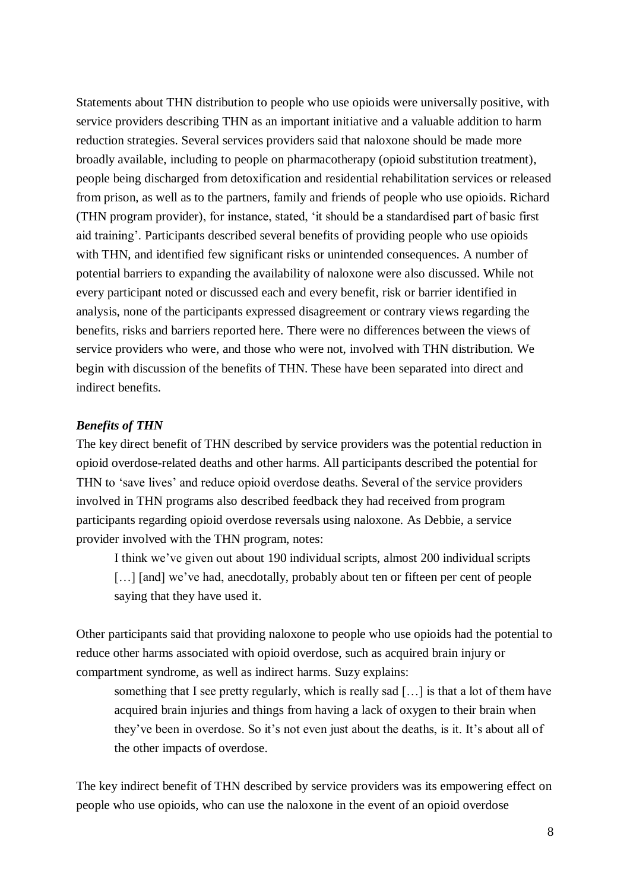Statements about THN distribution to people who use opioids were universally positive, with service providers describing THN as an important initiative and a valuable addition to harm reduction strategies. Several services providers said that naloxone should be made more broadly available, including to people on pharmacotherapy (opioid substitution treatment), people being discharged from detoxification and residential rehabilitation services or released from prison, as well as to the partners, family and friends of people who use opioids. Richard (THN program provider), for instance, stated, 'it should be a standardised part of basic first aid training'. Participants described several benefits of providing people who use opioids with THN, and identified few significant risks or unintended consequences. A number of potential barriers to expanding the availability of naloxone were also discussed. While not every participant noted or discussed each and every benefit, risk or barrier identified in analysis, none of the participants expressed disagreement or contrary views regarding the benefits, risks and barriers reported here. There were no differences between the views of service providers who were, and those who were not, involved with THN distribution. We begin with discussion of the benefits of THN. These have been separated into direct and indirect benefits.

### *Benefits of THN*

The key direct benefit of THN described by service providers was the potential reduction in opioid overdose-related deaths and other harms. All participants described the potential for THN to 'save lives' and reduce opioid overdose deaths. Several of the service providers involved in THN programs also described feedback they had received from program participants regarding opioid overdose reversals using naloxone. As Debbie, a service provider involved with the THN program, notes:

I think we've given out about 190 individual scripts, almost 200 individual scripts [...] [and] we've had, anecdotally, probably about ten or fifteen per cent of people saying that they have used it.

Other participants said that providing naloxone to people who use opioids had the potential to reduce other harms associated with opioid overdose, such as acquired brain injury or compartment syndrome, as well as indirect harms. Suzy explains:

something that I see pretty regularly, which is really sad […] is that a lot of them have acquired brain injuries and things from having a lack of oxygen to their brain when they've been in overdose. So it's not even just about the deaths, is it. It's about all of the other impacts of overdose.

The key indirect benefit of THN described by service providers was its empowering effect on people who use opioids, who can use the naloxone in the event of an opioid overdose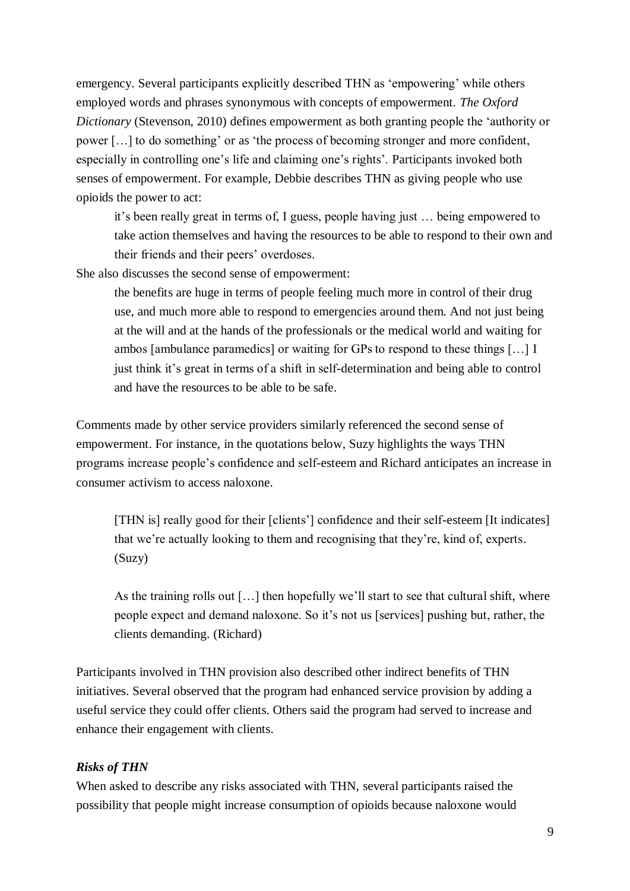emergency. Several participants explicitly described THN as 'empowering' while others employed words and phrases synonymous with concepts of empowerment. *The Oxford Dictionary* (Stevenson, 2010) defines empowerment as both granting people the 'authority or power […] to do something' or as 'the process of becoming stronger and more confident, especially in controlling one's life and claiming one's rights'. Participants invoked both senses of empowerment. For example, Debbie describes THN as giving people who use opioids the power to act:

it's been really great in terms of, I guess, people having just … being empowered to take action themselves and having the resources to be able to respond to their own and their friends and their peers' overdoses.

She also discusses the second sense of empowerment:

the benefits are huge in terms of people feeling much more in control of their drug use, and much more able to respond to emergencies around them. And not just being at the will and at the hands of the professionals or the medical world and waiting for ambos [ambulance paramedics] or waiting for GPs to respond to these things […] I just think it's great in terms of a shift in self-determination and being able to control and have the resources to be able to be safe.

Comments made by other service providers similarly referenced the second sense of empowerment. For instance, in the quotations below, Suzy highlights the ways THN programs increase people's confidence and self-esteem and Richard anticipates an increase in consumer activism to access naloxone.

[THN is] really good for their [clients'] confidence and their self-esteem [It indicates] that we're actually looking to them and recognising that they're, kind of, experts. (Suzy)

As the training rolls out […] then hopefully we'll start to see that cultural shift, where people expect and demand naloxone. So it's not us [services] pushing but, rather, the clients demanding. (Richard)

Participants involved in THN provision also described other indirect benefits of THN initiatives. Several observed that the program had enhanced service provision by adding a useful service they could offer clients. Others said the program had served to increase and enhance their engagement with clients.

# *Risks of THN*

When asked to describe any risks associated with THN, several participants raised the possibility that people might increase consumption of opioids because naloxone would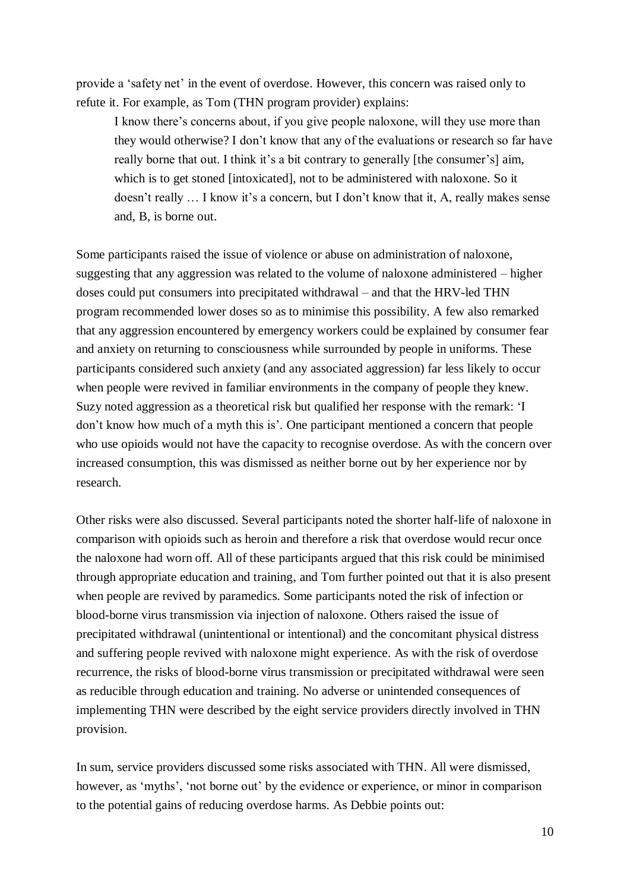provide a 'safety net' in the event of overdose. However, this concern was raised only to refute it. For example, as Tom (THN program provider) explains:

I know there's concerns about, if you give people naloxone, will they use more than they would otherwise? I don't know that any of the evaluations or research so far have really borne that out. I think it's a bit contrary to generally [the consumer's] aim, which is to get stoned [intoxicated], not to be administered with naloxone. So it doesn't really … I know it's a concern, but I don't know that it, A, really makes sense and, B, is borne out.

Some participants raised the issue of violence or abuse on administration of naloxone, suggesting that any aggression was related to the volume of naloxone administered – higher doses could put consumers into precipitated withdrawal – and that the HRV-led THN program recommended lower doses so as to minimise this possibility. A few also remarked that any aggression encountered by emergency workers could be explained by consumer fear and anxiety on returning to consciousness while surrounded by people in uniforms. These participants considered such anxiety (and any associated aggression) far less likely to occur when people were revived in familiar environments in the company of people they knew. Suzy noted aggression as a theoretical risk but qualified her response with the remark: 'I don't know how much of a myth this is'. One participant mentioned a concern that people who use opioids would not have the capacity to recognise overdose. As with the concern over increased consumption, this was dismissed as neither borne out by her experience nor by research.

Other risks were also discussed. Several participants noted the shorter half-life of naloxone in comparison with opioids such as heroin and therefore a risk that overdose would recur once the naloxone had worn off. All of these participants argued that this risk could be minimised through appropriate education and training, and Tom further pointed out that it is also present when people are revived by paramedics. Some participants noted the risk of infection or blood-borne virus transmission via injection of naloxone. Others raised the issue of precipitated withdrawal (unintentional or intentional) and the concomitant physical distress and suffering people revived with naloxone might experience. As with the risk of overdose recurrence, the risks of blood-borne virus transmission or precipitated withdrawal were seen as reducible through education and training. No adverse or unintended consequences of implementing THN were described by the eight service providers directly involved in THN provision.

In sum, service providers discussed some risks associated with THN. All were dismissed, however, as 'myths', 'not borne out' by the evidence or experience, or minor in comparison to the potential gains of reducing overdose harms. As Debbie points out: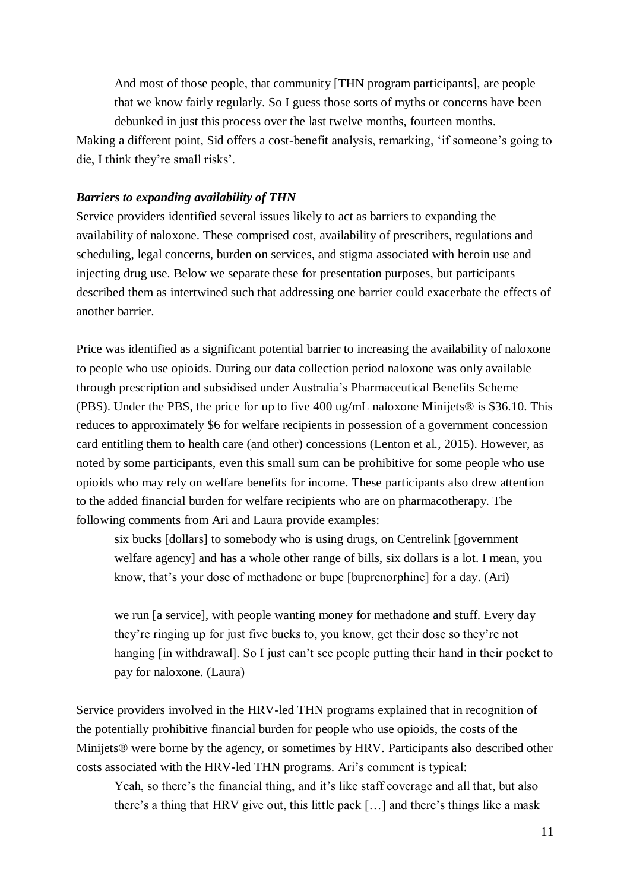And most of those people, that community [THN program participants], are people that we know fairly regularly. So I guess those sorts of myths or concerns have been debunked in just this process over the last twelve months, fourteen months.

Making a different point, Sid offers a cost-benefit analysis, remarking, 'if someone's going to die, I think they're small risks'.

## *Barriers to expanding availability of THN*

Service providers identified several issues likely to act as barriers to expanding the availability of naloxone. These comprised cost, availability of prescribers, regulations and scheduling, legal concerns, burden on services, and stigma associated with heroin use and injecting drug use. Below we separate these for presentation purposes, but participants described them as intertwined such that addressing one barrier could exacerbate the effects of another barrier.

Price was identified as a significant potential barrier to increasing the availability of naloxone to people who use opioids. During our data collection period naloxone was only available through prescription and subsidised under Australia's Pharmaceutical Benefits Scheme (PBS). Under the PBS, the price for up to five 400 ug/mL naloxone Minijets® is \$36.10. This reduces to approximately \$6 for welfare recipients in possession of a government concession card entitling them to health care (and other) concessions (Lenton et al., 2015). However, as noted by some participants, even this small sum can be prohibitive for some people who use opioids who may rely on welfare benefits for income. These participants also drew attention to the added financial burden for welfare recipients who are on pharmacotherapy. The following comments from Ari and Laura provide examples:

six bucks [dollars] to somebody who is using drugs, on Centrelink [government welfare agency] and has a whole other range of bills, six dollars is a lot. I mean, you know, that's your dose of methadone or bupe [buprenorphine] for a day. (Ari)

we run [a service], with people wanting money for methadone and stuff. Every day they're ringing up for just five bucks to, you know, get their dose so they're not hanging [in withdrawal]. So I just can't see people putting their hand in their pocket to pay for naloxone. (Laura)

Service providers involved in the HRV-led THN programs explained that in recognition of the potentially prohibitive financial burden for people who use opioids, the costs of the Minijets® were borne by the agency, or sometimes by HRV. Participants also described other costs associated with the HRV-led THN programs. Ari's comment is typical:

Yeah, so there's the financial thing, and it's like staff coverage and all that, but also there's a thing that HRV give out, this little pack […] and there's things like a mask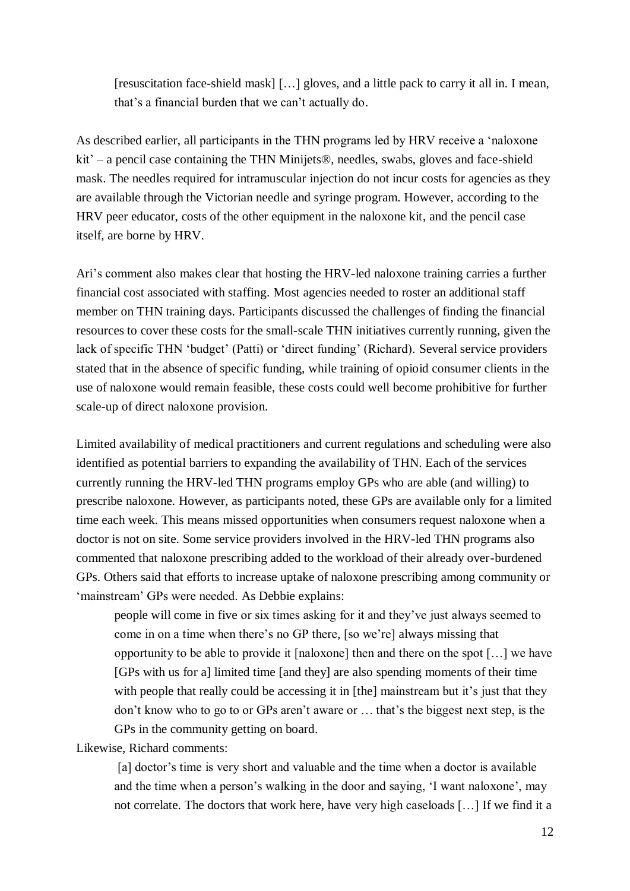[resuscitation face-shield mask] […] gloves, and a little pack to carry it all in. I mean, that's a financial burden that we can't actually do.

As described earlier, all participants in the THN programs led by HRV receive a 'naloxone kit' – a pencil case containing the THN Minijets®, needles, swabs, gloves and face-shield mask. The needles required for intramuscular injection do not incur costs for agencies as they are available through the Victorian needle and syringe program. However, according to the HRV peer educator, costs of the other equipment in the naloxone kit, and the pencil case itself, are borne by HRV.

Ari's comment also makes clear that hosting the HRV-led naloxone training carries a further financial cost associated with staffing. Most agencies needed to roster an additional staff member on THN training days. Participants discussed the challenges of finding the financial resources to cover these costs for the small-scale THN initiatives currently running, given the lack of specific THN 'budget' (Patti) or 'direct funding' (Richard). Several service providers stated that in the absence of specific funding, while training of opioid consumer clients in the use of naloxone would remain feasible, these costs could well become prohibitive for further scale-up of direct naloxone provision.

Limited availability of medical practitioners and current regulations and scheduling were also identified as potential barriers to expanding the availability of THN. Each of the services currently running the HRV-led THN programs employ GPs who are able (and willing) to prescribe naloxone. However, as participants noted, these GPs are available only for a limited time each week. This means missed opportunities when consumers request naloxone when a doctor is not on site. Some service providers involved in the HRV-led THN programs also commented that naloxone prescribing added to the workload of their already over-burdened GPs. Others said that efforts to increase uptake of naloxone prescribing among community or 'mainstream' GPs were needed. As Debbie explains:

people will come in five or six times asking for it and they've just always seemed to come in on a time when there's no GP there, [so we're] always missing that opportunity to be able to provide it [naloxone] then and there on the spot […] we have [GPs with us for a] limited time [and they] are also spending moments of their time with people that really could be accessing it in [the] mainstream but it's just that they don't know who to go to or GPs aren't aware or … that's the biggest next step, is the GPs in the community getting on board.

Likewise, Richard comments:

[a] doctor's time is very short and valuable and the time when a doctor is available and the time when a person's walking in the door and saying, 'I want naloxone', may not correlate. The doctors that work here, have very high caseloads […] If we find it a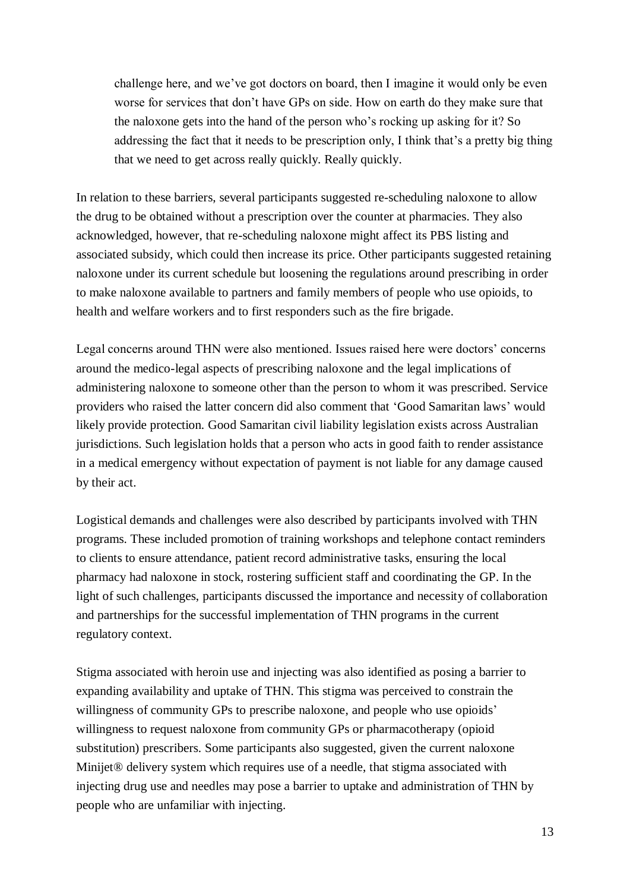challenge here, and we've got doctors on board, then I imagine it would only be even worse for services that don't have GPs on side. How on earth do they make sure that the naloxone gets into the hand of the person who's rocking up asking for it? So addressing the fact that it needs to be prescription only, I think that's a pretty big thing that we need to get across really quickly. Really quickly.

In relation to these barriers, several participants suggested re-scheduling naloxone to allow the drug to be obtained without a prescription over the counter at pharmacies. They also acknowledged, however, that re-scheduling naloxone might affect its PBS listing and associated subsidy, which could then increase its price. Other participants suggested retaining naloxone under its current schedule but loosening the regulations around prescribing in order to make naloxone available to partners and family members of people who use opioids, to health and welfare workers and to first responders such as the fire brigade.

Legal concerns around THN were also mentioned. Issues raised here were doctors' concerns around the medico-legal aspects of prescribing naloxone and the legal implications of administering naloxone to someone other than the person to whom it was prescribed. Service providers who raised the latter concern did also comment that 'Good Samaritan laws' would likely provide protection. Good Samaritan civil liability legislation exists across Australian jurisdictions. Such legislation holds that a person who acts in good faith to render assistance in a medical emergency without expectation of payment is not liable for any damage caused by their act.

Logistical demands and challenges were also described by participants involved with THN programs. These included promotion of training workshops and telephone contact reminders to clients to ensure attendance, patient record administrative tasks, ensuring the local pharmacy had naloxone in stock, rostering sufficient staff and coordinating the GP. In the light of such challenges, participants discussed the importance and necessity of collaboration and partnerships for the successful implementation of THN programs in the current regulatory context.

Stigma associated with heroin use and injecting was also identified as posing a barrier to expanding availability and uptake of THN. This stigma was perceived to constrain the willingness of community GPs to prescribe naloxone, and people who use opioids' willingness to request naloxone from community GPs or pharmacotherapy (opioid substitution) prescribers. Some participants also suggested, given the current naloxone Minijet<sup>®</sup> delivery system which requires use of a needle, that stigma associated with injecting drug use and needles may pose a barrier to uptake and administration of THN by people who are unfamiliar with injecting.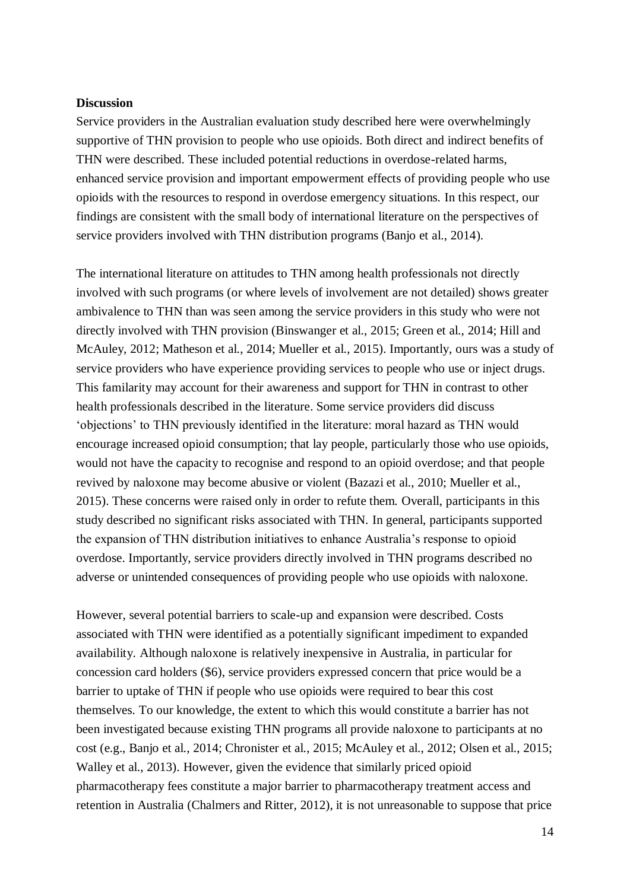### **Discussion**

Service providers in the Australian evaluation study described here were overwhelmingly supportive of THN provision to people who use opioids. Both direct and indirect benefits of THN were described. These included potential reductions in overdose-related harms, enhanced service provision and important empowerment effects of providing people who use opioids with the resources to respond in overdose emergency situations. In this respect, our findings are consistent with the small body of international literature on the perspectives of service providers involved with THN distribution programs (Banjo et al., 2014).

The international literature on attitudes to THN among health professionals not directly involved with such programs (or where levels of involvement are not detailed) shows greater ambivalence to THN than was seen among the service providers in this study who were not directly involved with THN provision (Binswanger et al., 2015; Green et al., 2014; Hill and McAuley, 2012; Matheson et al., 2014; Mueller et al., 2015). Importantly, ours was a study of service providers who have experience providing services to people who use or inject drugs. This familarity may account for their awareness and support for THN in contrast to other health professionals described in the literature. Some service providers did discuss 'objections' to THN previously identified in the literature: moral hazard as THN would encourage increased opioid consumption; that lay people, particularly those who use opioids, would not have the capacity to recognise and respond to an opioid overdose; and that people revived by naloxone may become abusive or violent (Bazazi et al., 2010; Mueller et al., 2015). These concerns were raised only in order to refute them. Overall, participants in this study described no significant risks associated with THN. In general, participants supported the expansion of THN distribution initiatives to enhance Australia's response to opioid overdose. Importantly, service providers directly involved in THN programs described no adverse or unintended consequences of providing people who use opioids with naloxone.

However, several potential barriers to scale-up and expansion were described. Costs associated with THN were identified as a potentially significant impediment to expanded availability. Although naloxone is relatively inexpensive in Australia, in particular for concession card holders (\$6), service providers expressed concern that price would be a barrier to uptake of THN if people who use opioids were required to bear this cost themselves. To our knowledge, the extent to which this would constitute a barrier has not been investigated because existing THN programs all provide naloxone to participants at no cost (e.g., Banjo et al., 2014; Chronister et al., 2015; McAuley et al., 2012; Olsen et al., 2015; Walley et al., 2013). However, given the evidence that similarly priced opioid pharmacotherapy fees constitute a major barrier to pharmacotherapy treatment access and retention in Australia (Chalmers and Ritter, 2012), it is not unreasonable to suppose that price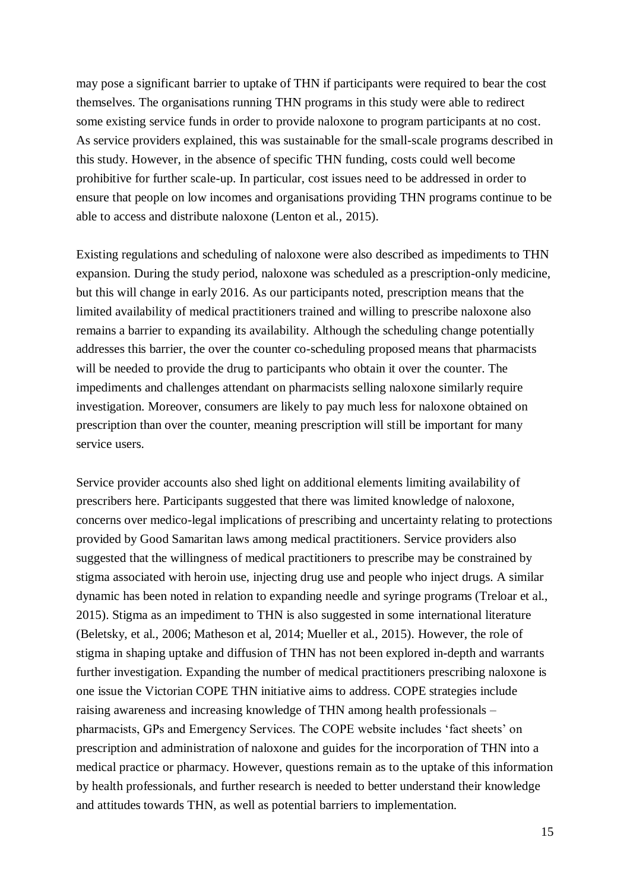may pose a significant barrier to uptake of THN if participants were required to bear the cost themselves. The organisations running THN programs in this study were able to redirect some existing service funds in order to provide naloxone to program participants at no cost. As service providers explained, this was sustainable for the small-scale programs described in this study. However, in the absence of specific THN funding, costs could well become prohibitive for further scale-up. In particular, cost issues need to be addressed in order to ensure that people on low incomes and organisations providing THN programs continue to be able to access and distribute naloxone (Lenton et al., 2015).

Existing regulations and scheduling of naloxone were also described as impediments to THN expansion. During the study period, naloxone was scheduled as a prescription-only medicine, but this will change in early 2016. As our participants noted, prescription means that the limited availability of medical practitioners trained and willing to prescribe naloxone also remains a barrier to expanding its availability. Although the scheduling change potentially addresses this barrier, the over the counter co-scheduling proposed means that pharmacists will be needed to provide the drug to participants who obtain it over the counter. The impediments and challenges attendant on pharmacists selling naloxone similarly require investigation. Moreover, consumers are likely to pay much less for naloxone obtained on prescription than over the counter, meaning prescription will still be important for many service users.

Service provider accounts also shed light on additional elements limiting availability of prescribers here. Participants suggested that there was limited knowledge of naloxone, concerns over medico-legal implications of prescribing and uncertainty relating to protections provided by Good Samaritan laws among medical practitioners. Service providers also suggested that the willingness of medical practitioners to prescribe may be constrained by stigma associated with heroin use, injecting drug use and people who inject drugs. A similar dynamic has been noted in relation to expanding needle and syringe programs (Treloar et al., 2015). Stigma as an impediment to THN is also suggested in some international literature (Beletsky, et al., 2006; Matheson et al, 2014; Mueller et al., 2015). However, the role of stigma in shaping uptake and diffusion of THN has not been explored in-depth and warrants further investigation. Expanding the number of medical practitioners prescribing naloxone is one issue the Victorian COPE THN initiative aims to address. COPE strategies include raising awareness and increasing knowledge of THN among health professionals – pharmacists, GPs and Emergency Services. The COPE website includes 'fact sheets' on prescription and administration of naloxone and guides for the incorporation of THN into a medical practice or pharmacy. However, questions remain as to the uptake of this information by health professionals, and further research is needed to better understand their knowledge and attitudes towards THN, as well as potential barriers to implementation.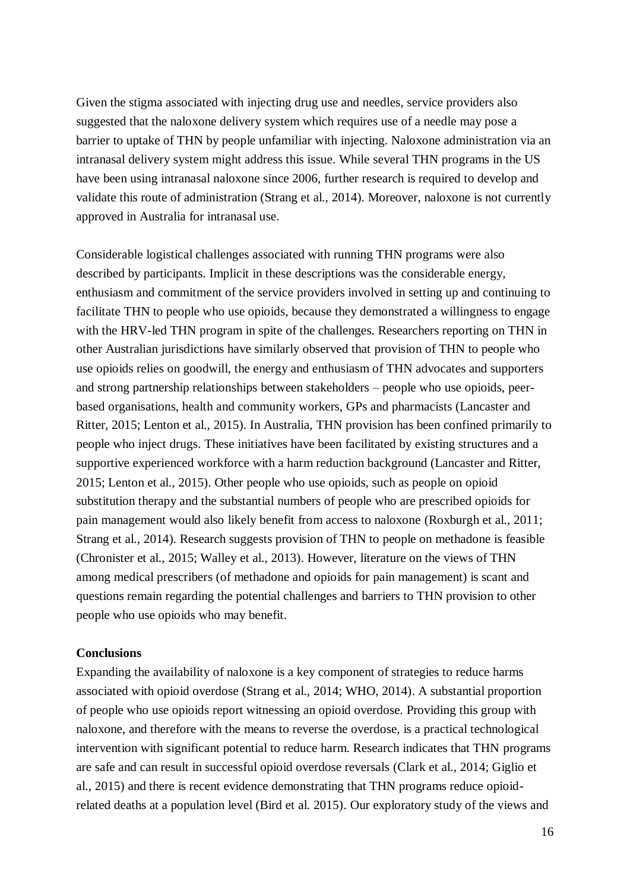Given the stigma associated with injecting drug use and needles, service providers also suggested that the naloxone delivery system which requires use of a needle may pose a barrier to uptake of THN by people unfamiliar with injecting. Naloxone administration via an intranasal delivery system might address this issue. While several THN programs in the US have been using intranasal naloxone since 2006, further research is required to develop and validate this route of administration (Strang et al., 2014). Moreover, naloxone is not currently approved in Australia for intranasal use.

Considerable logistical challenges associated with running THN programs were also described by participants. Implicit in these descriptions was the considerable energy, enthusiasm and commitment of the service providers involved in setting up and continuing to facilitate THN to people who use opioids, because they demonstrated a willingness to engage with the HRV-led THN program in spite of the challenges. Researchers reporting on THN in other Australian jurisdictions have similarly observed that provision of THN to people who use opioids relies on goodwill, the energy and enthusiasm of THN advocates and supporters and strong partnership relationships between stakeholders – people who use opioids, peerbased organisations, health and community workers, GPs and pharmacists (Lancaster and Ritter, 2015; Lenton et al., 2015). In Australia, THN provision has been confined primarily to people who inject drugs. These initiatives have been facilitated by existing structures and a supportive experienced workforce with a harm reduction background (Lancaster and Ritter, 2015; Lenton et al., 2015). Other people who use opioids, such as people on opioid substitution therapy and the substantial numbers of people who are prescribed opioids for pain management would also likely benefit from access to naloxone (Roxburgh et al., 2011; Strang et al., 2014). Research suggests provision of THN to people on methadone is feasible (Chronister et al., 2015; Walley et al., 2013). However, literature on the views of THN among medical prescribers (of methadone and opioids for pain management) is scant and questions remain regarding the potential challenges and barriers to THN provision to other people who use opioids who may benefit.

## **Conclusions**

Expanding the availability of naloxone is a key component of strategies to reduce harms associated with opioid overdose (Strang et al., 2014; WHO, 2014). A substantial proportion of people who use opioids report witnessing an opioid overdose. Providing this group with naloxone, and therefore with the means to reverse the overdose, is a practical technological intervention with significant potential to reduce harm. Research indicates that THN programs are safe and can result in successful opioid overdose reversals (Clark et al., 2014; Giglio et al., 2015) and there is recent evidence demonstrating that THN programs reduce opioidrelated deaths at a population level (Bird et al. 2015). Our exploratory study of the views and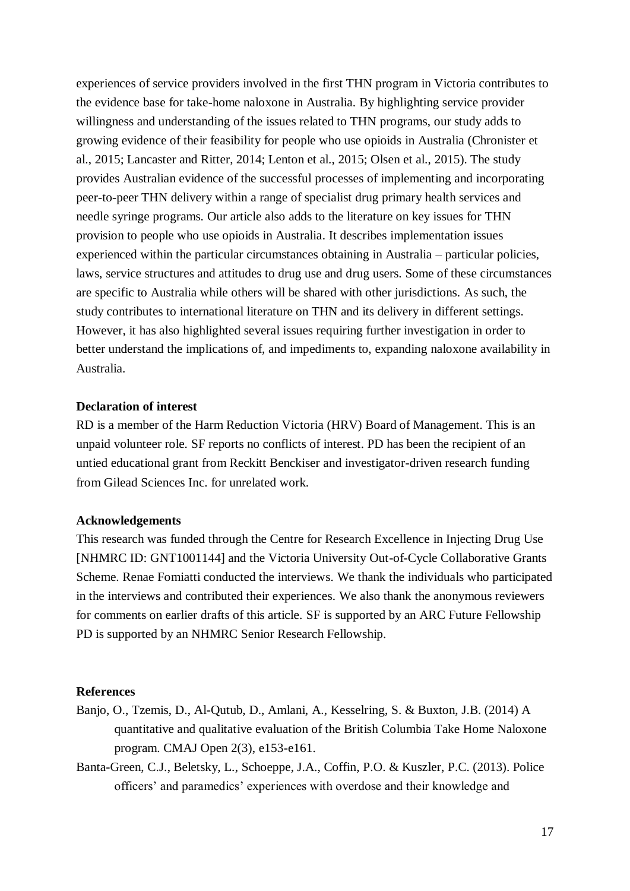experiences of service providers involved in the first THN program in Victoria contributes to the evidence base for take-home naloxone in Australia. By highlighting service provider willingness and understanding of the issues related to THN programs, our study adds to growing evidence of their feasibility for people who use opioids in Australia (Chronister et al., 2015; Lancaster and Ritter, 2014; Lenton et al., 2015; Olsen et al., 2015). The study provides Australian evidence of the successful processes of implementing and incorporating peer-to-peer THN delivery within a range of specialist drug primary health services and needle syringe programs. Our article also adds to the literature on key issues for THN provision to people who use opioids in Australia. It describes implementation issues experienced within the particular circumstances obtaining in Australia – particular policies, laws, service structures and attitudes to drug use and drug users. Some of these circumstances are specific to Australia while others will be shared with other jurisdictions. As such, the study contributes to international literature on THN and its delivery in different settings. However, it has also highlighted several issues requiring further investigation in order to better understand the implications of, and impediments to, expanding naloxone availability in Australia.

### **Declaration of interest**

RD is a member of the Harm Reduction Victoria (HRV) Board of Management. This is an unpaid volunteer role. SF reports no conflicts of interest. PD has been the recipient of an untied educational grant from Reckitt Benckiser and investigator-driven research funding from Gilead Sciences Inc. for unrelated work.

### **Acknowledgements**

This research was funded through the Centre for Research Excellence in Injecting Drug Use [NHMRC ID: GNT1001144] and the Victoria University Out-of-Cycle Collaborative Grants Scheme. Renae Fomiatti conducted the interviews. We thank the individuals who participated in the interviews and contributed their experiences. We also thank the anonymous reviewers for comments on earlier drafts of this article. SF is supported by an ARC Future Fellowship PD is supported by an NHMRC Senior Research Fellowship.

### **References**

- Banjo, O., Tzemis, D., Al-Qutub, D., Amlani, A., Kesselring, S. & Buxton, J.B. (2014) A quantitative and qualitative evaluation of the British Columbia Take Home Naloxone program. CMAJ Open 2(3), e153-e161.
- Banta-Green, C.J., Beletsky, L., Schoeppe, J.A., Coffin, P.O. & Kuszler, P.C. (2013). Police officers' and paramedics' experiences with overdose and their knowledge and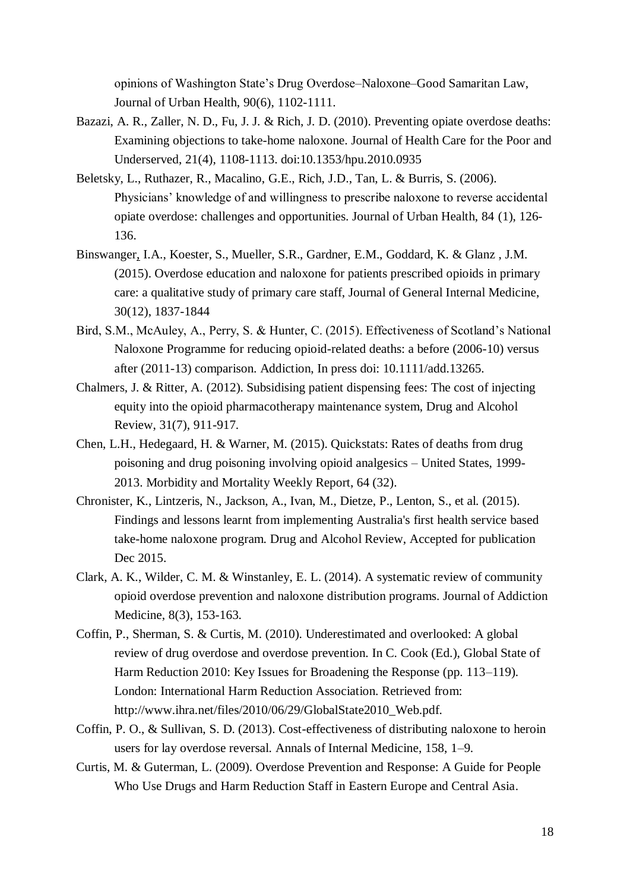opinions of Washington State's Drug Overdose–Naloxone–Good Samaritan Law, Journal of Urban Health, 90(6), 1102-1111.

- Bazazi, A. R., Zaller, N. D., Fu, J. J. & Rich, J. D. (2010). Preventing opiate overdose deaths: Examining objections to take-home naloxone. Journal of Health Care for the Poor and Underserved, 21(4), 1108-1113. doi:10.1353/hpu.2010.0935
- Beletsky, L., Ruthazer, R., Macalino, G.E., Rich, J.D., Tan, L. & Burris, S. (2006). Physicians' knowledge of and willingness to prescribe naloxone to reverse accidental opiate overdose: challenges and opportunities. Journal of Urban Health, 84 (1), 126- 136.
- Binswange[r,](mailto:Ingrid.A.B.inswanger@kp.org) I.A., Koester, S., Mueller, S.R., Gardner, E.M., Goddard, K. & Glanz , J.M. (2015). Overdose education and naloxone for patients prescribed opioids in primary care: a qualitative study of primary care staff, Journal of General Internal Medicine, 30(12), 1837-1844
- Bird, S.M., McAuley, A., Perry, S. & Hunter, C. (2015). Effectiveness of Scotland's National Naloxone Programme for reducing opioid-related deaths: a before (2006-10) versus after (2011-13) comparison. Addiction, In press doi: 10.1111/add.13265.
- Chalmers, J. & Ritter, A. (2012). Subsidising patient dispensing fees: The cost of injecting equity into the opioid pharmacotherapy maintenance system, Drug and Alcohol Review, 31(7), 911-917.
- Chen, L.H., Hedegaard, H. & Warner, M. (2015). Quickstats: Rates of deaths from drug poisoning and drug poisoning involving opioid analgesics – United States, 1999- 2013. Morbidity and Mortality Weekly Report, 64 (32).
- Chronister, K., Lintzeris, N., Jackson, A., Ivan, M., Dietze, P., Lenton, S., et al. (2015). Findings and lessons learnt from implementing Australia's first health service based take-home naloxone program. Drug and Alcohol Review, Accepted for publication Dec 2015.
- Clark, A. K., Wilder, C. M. & Winstanley, E. L. (2014). A systematic review of community opioid overdose prevention and naloxone distribution programs. Journal of Addiction Medicine, 8(3), 153-163.
- Coffin, P., Sherman, S. & Curtis, M. (2010). Underestimated and overlooked: A global review of drug overdose and overdose prevention. In C. Cook (Ed.), Global State of Harm Reduction 2010: Key Issues for Broadening the Response (pp. 113–119). London: International Harm Reduction Association. Retrieved from: http://www.ihra.net/files/2010/06/29/GlobalState2010\_Web.pdf.
- Coffin, P. O., & Sullivan, S. D. (2013). Cost-effectiveness of distributing naloxone to heroin users for lay overdose reversal. Annals of Internal Medicine, 158, 1–9.
- Curtis, M. & Guterman, L. (2009). Overdose Prevention and Response: A Guide for People Who Use Drugs and Harm Reduction Staff in Eastern Europe and Central Asia.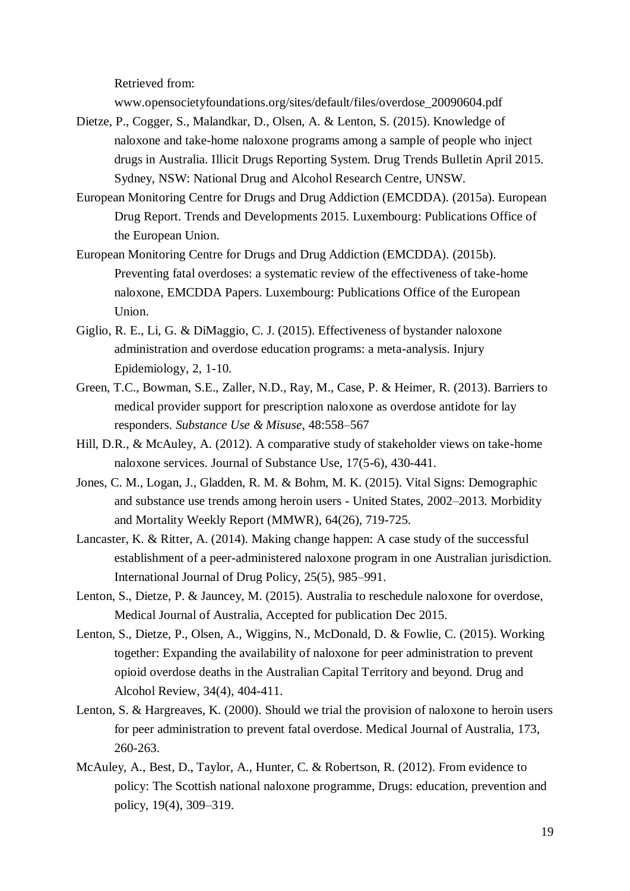Retrieved from:

www.opensocietyfoundations.org/sites/default/files/overdose\_20090604.pdf

- Dietze, P., Cogger, S., Malandkar, D., Olsen, A. & Lenton, S. (2015). Knowledge of naloxone and take-home naloxone programs among a sample of people who inject drugs in Australia. Illicit Drugs Reporting System. Drug Trends Bulletin April 2015. Sydney, NSW: National Drug and Alcohol Research Centre, UNSW.
- European Monitoring Centre for Drugs and Drug Addiction (EMCDDA). (2015a). European Drug Report. Trends and Developments 2015. Luxembourg: Publications Office of the European Union.
- European Monitoring Centre for Drugs and Drug Addiction (EMCDDA). (2015b). Preventing fatal overdoses: a systematic review of the effectiveness of take-home naloxone, EMCDDA Papers. Luxembourg: Publications Office of the European Union.
- Giglio, R. E., Li, G. & DiMaggio, C. J. (2015). Effectiveness of bystander naloxone administration and overdose education programs: a meta-analysis. Injury Epidemiology, 2, 1-10.
- Green, T.C., Bowman, S.E., Zaller, N.D., Ray, M., Case, P. & Heimer, R. (2013). Barriers to medical provider support for prescription naloxone as overdose antidote for lay responders. *Substance Use & Misuse*, 48:558–567
- Hill, D.R., & McAuley, A. (2012). A comparative study of stakeholder views on take-home naloxone services. Journal of Substance Use, 17(5-6), 430-441.
- Jones, C. M., Logan, J., Gladden, R. M. & Bohm, M. K. (2015). Vital Signs: Demographic and substance use trends among heroin users - United States, 2002–2013. Morbidity and Mortality Weekly Report (MMWR), 64(26), 719-725.
- Lancaster, K. & Ritter, A. (2014). Making change happen: A case study of the successful establishment of a peer-administered naloxone program in one Australian jurisdiction. International Journal of Drug Policy, 25(5), 985–991.
- Lenton, S., Dietze, P. & Jauncey, M. (2015). Australia to reschedule naloxone for overdose, Medical Journal of Australia, Accepted for publication Dec 2015.
- Lenton, S., Dietze, P., Olsen, A., Wiggins, N., McDonald, D. & Fowlie, C. (2015). Working together: Expanding the availability of naloxone for peer administration to prevent opioid overdose deaths in the Australian Capital Territory and beyond. Drug and Alcohol Review, 34(4), 404-411.
- Lenton, S. & Hargreaves, K. (2000). Should we trial the provision of naloxone to heroin users for peer administration to prevent fatal overdose. Medical Journal of Australia, 173, 260-263.
- McAuley, A., Best, D., Taylor, A., Hunter, C. & Robertson, R. (2012). From evidence to policy: The Scottish national naloxone programme, Drugs: education, prevention and policy, 19(4), 309–319.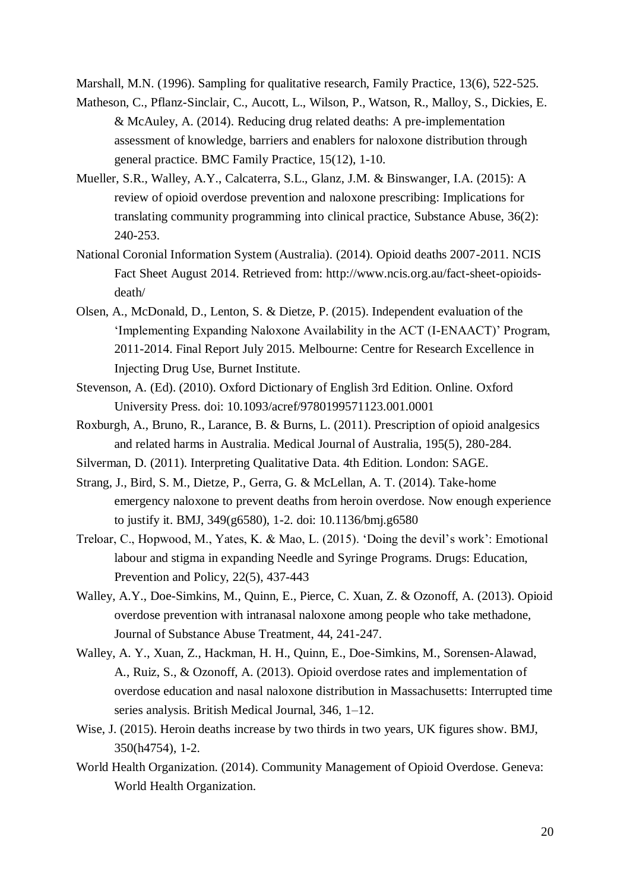Marshall, M.N. (1996). Sampling for qualitative research, Family Practice, 13(6), 522-525.

- Matheson, C., Pflanz-Sinclair, C., Aucott, L., Wilson, P., Watson, R., Malloy, S., Dickies, E. & McAuley, A. (2014). Reducing drug related deaths: A pre-implementation assessment of knowledge, barriers and enablers for naloxone distribution through general practice. BMC Family Practice, 15(12), 1-10.
- Mueller, S.R., Walley, A.Y., Calcaterra, S.L., Glanz, J.M. & Binswanger, I.A. (2015): A review of opioid overdose prevention and naloxone prescribing: Implications for translating community programming into clinical practice, Substance Abuse, 36(2): 240-253.
- National Coronial Information System (Australia). (2014). Opioid deaths 2007-2011. NCIS Fact Sheet August 2014. Retrieved from: http://www.ncis.org.au/fact-sheet-opioidsdeath/
- Olsen, A., McDonald, D., Lenton, S. & Dietze, P. (2015). Independent evaluation of the 'Implementing Expanding Naloxone Availability in the ACT (I-ENAACT)' Program, 2011-2014. Final Report July 2015. Melbourne: Centre for Research Excellence in Injecting Drug Use, Burnet Institute.
- Stevenson, A. (Ed). (2010). Oxford Dictionary of English 3rd Edition. Online. Oxford University Press. doi: 10.1093/acref/9780199571123.001.0001
- Roxburgh, A., Bruno, R., Larance, B. & Burns, L. (2011). Prescription of opioid analgesics and related harms in Australia. Medical Journal of Australia, 195(5), 280-284.
- Silverman, D. (2011). Interpreting Qualitative Data. 4th Edition. London: SAGE.
- Strang, J., Bird, S. M., Dietze, P., Gerra, G. & McLellan, A. T. (2014). Take-home emergency naloxone to prevent deaths from heroin overdose. Now enough experience to justify it. BMJ, 349(g6580), 1-2. doi: 10.1136/bmj.g6580
- Treloar, C., Hopwood, M., Yates, K. & Mao, L. (2015). 'Doing the devil's work': Emotional labour and stigma in expanding Needle and Syringe Programs. Drugs: Education, Prevention and Policy, 22(5), 437-443
- Walley, A.Y., Doe-Simkins, M., Quinn, E., Pierce, C. Xuan, Z. & Ozonoff, A. (2013). Opioid overdose prevention with intranasal naloxone among people who take methadone, Journal of Substance Abuse Treatment, 44, 241-247.
- Walley, A. Y., Xuan, Z., Hackman, H. H., Quinn, E., Doe-Simkins, M., Sorensen-Alawad, A., Ruiz, S., & Ozonoff, A. (2013). Opioid overdose rates and implementation of overdose education and nasal naloxone distribution in Massachusetts: Interrupted time series analysis. British Medical Journal, 346, 1–12.
- Wise, J. (2015). Heroin deaths increase by two thirds in two years, UK figures show. BMJ, 350(h4754), 1-2.
- World Health Organization. (2014). Community Management of Opioid Overdose. Geneva: World Health Organization.